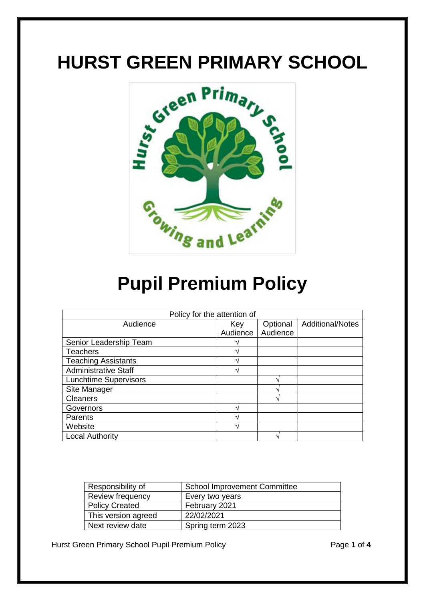## **HURST GREEN PRIMARY SCHOOL**



# **Pupil Premium Policy**

| Policy for the attention of  |          |          |                         |  |
|------------------------------|----------|----------|-------------------------|--|
| Audience                     | Key      | Optional | <b>Additional/Notes</b> |  |
|                              | Audience | Audience |                         |  |
| Senior Leadership Team       |          |          |                         |  |
| <b>Teachers</b>              |          |          |                         |  |
| <b>Teaching Assistants</b>   |          |          |                         |  |
| <b>Administrative Staff</b>  |          |          |                         |  |
| <b>Lunchtime Supervisors</b> |          |          |                         |  |
| Site Manager                 |          |          |                         |  |
| <b>Cleaners</b>              |          |          |                         |  |
| Governors                    |          |          |                         |  |
| Parents                      |          |          |                         |  |
| Website                      |          |          |                         |  |
| <b>Local Authority</b>       |          |          |                         |  |

| Responsibility of     | <b>School Improvement Committee</b> |
|-----------------------|-------------------------------------|
| Review frequency      | Every two years                     |
| <b>Policy Created</b> | February 2021                       |
| This version agreed   | 22/02/2021                          |
| Next review date      | Spring term 2023                    |

Hurst Green Primary School Pupil Premium Policy Page **1** of **4**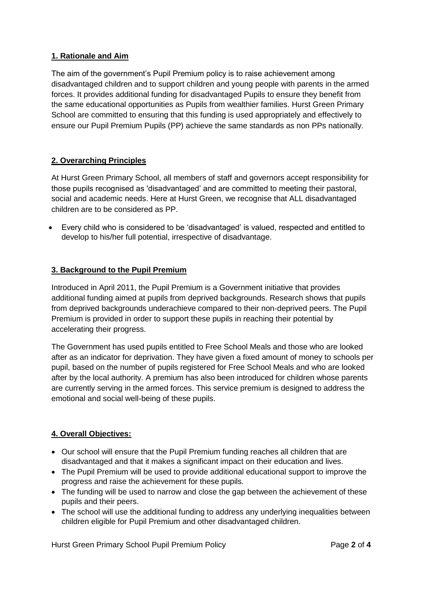## **1. Rationale and Aim**

The aim of the government's Pupil Premium policy is to raise achievement among disadvantaged children and to support children and young people with parents in the armed forces. It provides additional funding for disadvantaged Pupils to ensure they benefit from the same educational opportunities as Pupils from wealthier families. Hurst Green Primary School are committed to ensuring that this funding is used appropriately and effectively to ensure our Pupil Premium Pupils (PP) achieve the same standards as non PPs nationally.

## **2. Overarching Principles**

At Hurst Green Primary School, all members of staff and governors accept responsibility for those pupils recognised as 'disadvantaged' and are committed to meeting their pastoral, social and academic needs. Here at Hurst Green, we recognise that ALL disadvantaged children are to be considered as PP.

 Every child who is considered to be 'disadvantaged' is valued, respected and entitled to develop to his/her full potential, irrespective of disadvantage.

#### **3. Background to the Pupil Premium**

Introduced in April 2011, the Pupil Premium is a Government initiative that provides additional funding aimed at pupils from deprived backgrounds. Research shows that pupils from deprived backgrounds underachieve compared to their non‐deprived peers. The Pupil Premium is provided in order to support these pupils in reaching their potential by accelerating their progress.

The Government has used pupils entitled to Free School Meals and those who are looked after as an indicator for deprivation. They have given a fixed amount of money to schools per pupil, based on the number of pupils registered for Free School Meals and who are looked after by the local authority. A premium has also been introduced for children whose parents are currently serving in the armed forces. This service premium is designed to address the emotional and social well-being of these pupils.

#### **4. Overall Objectives:**

- Our school will ensure that the Pupil Premium funding reaches all children that are disadvantaged and that it makes a significant impact on their education and lives.
- The Pupil Premium will be used to provide additional educational support to improve the progress and raise the achievement for these pupils.
- The funding will be used to narrow and close the gap between the achievement of these pupils and their peers.
- The school will use the additional funding to address any underlying inequalities between children eligible for Pupil Premium and other disadvantaged children.

Hurst Green Primary School Pupil Premium Policy Page **2** of **4**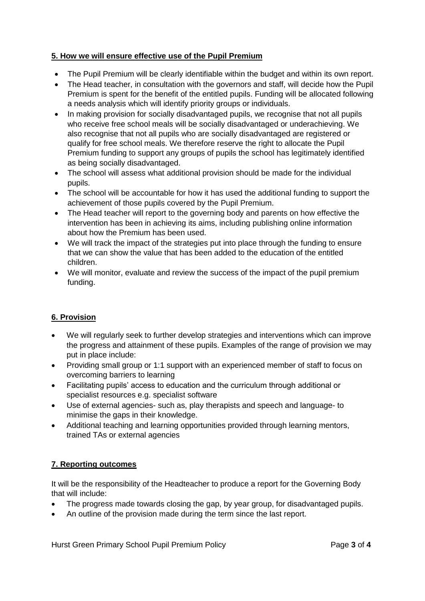## **5. How we will ensure effective use of the Pupil Premium**

- The Pupil Premium will be clearly identifiable within the budget and within its own report.
- The Head teacher, in consultation with the governors and staff, will decide how the Pupil Premium is spent for the benefit of the entitled pupils. Funding will be allocated following a needs analysis which will identify priority groups or individuals.
- In making provision for socially disadvantaged pupils, we recognise that not all pupils who receive free school meals will be socially disadvantaged or underachieving. We also recognise that not all pupils who are socially disadvantaged are registered or qualify for free school meals. We therefore reserve the right to allocate the Pupil Premium funding to support any groups of pupils the school has legitimately identified as being socially disadvantaged.
- The school will assess what additional provision should be made for the individual pupils.
- The school will be accountable for how it has used the additional funding to support the achievement of those pupils covered by the Pupil Premium.
- The Head teacher will report to the governing body and parents on how effective the intervention has been in achieving its aims, including publishing online information about how the Premium has been used.
- We will track the impact of the strategies put into place through the funding to ensure that we can show the value that has been added to the education of the entitled children.
- We will monitor, evaluate and review the success of the impact of the pupil premium funding.

## **6. Provision**

- We will regularly seek to further develop strategies and interventions which can improve the progress and attainment of these pupils. Examples of the range of provision we may put in place include:
- Providing small group or 1:1 support with an experienced member of staff to focus on overcoming barriers to learning
- Facilitating pupils' access to education and the curriculum through additional or specialist resources e.g. specialist software
- Use of external agencies- such as, play therapists and speech and language- to minimise the gaps in their knowledge.
- Additional teaching and learning opportunities provided through learning mentors, trained TAs or external agencies

## **7. Reporting outcomes**

It will be the responsibility of the Headteacher to produce a report for the Governing Body that will include:

- The progress made towards closing the gap, by year group, for disadvantaged pupils.
- An outline of the provision made during the term since the last report.